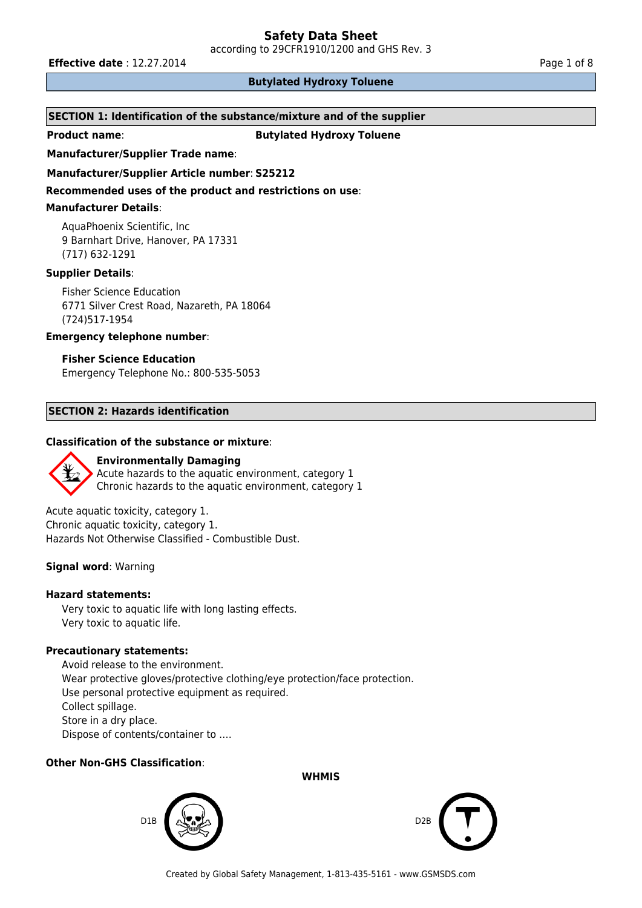according to 29CFR1910/1200 and GHS Rev. 3

**Effective date** : 12.27.2014 **Page 1 of 8 Page 1 of 8** 

# **Butylated Hydroxy Toluene**

# **SECTION 1: Identification of the substance/mixture and of the supplier**

**Product name: Butylated Hydroxy Toluene** 

# **Manufacturer/Supplier Trade name**:

# **Manufacturer/Supplier Article number**: **S25212**

**Recommended uses of the product and restrictions on use**:

# **Manufacturer Details**:

AquaPhoenix Scientific, Inc 9 Barnhart Drive, Hanover, PA 17331 (717) 632-1291

# **Supplier Details**:

Fisher Science Education 6771 Silver Crest Road, Nazareth, PA 18064 (724)517-1954

# **Emergency telephone number**:

# **Fisher Science Education**

Emergency Telephone No.: 800-535-5053

# **SECTION 2: Hazards identification**

# **Classification of the substance or mixture**:



Acute aquatic toxicity, category 1. Chronic aquatic toxicity, category 1. Hazards Not Otherwise Classified - Combustible Dust.

# **Signal word**: Warning

### **Hazard statements:**

Very toxic to aquatic life with long lasting effects. Very toxic to aquatic life.

#### **Precautionary statements:**

Avoid release to the environment. Wear protective gloves/protective clothing/eye protection/face protection. Use personal protective equipment as required. Collect spillage. Store in a dry place. Dispose of contents/container to ….

# **Other Non-GHS Classification**:

**WHMIS**



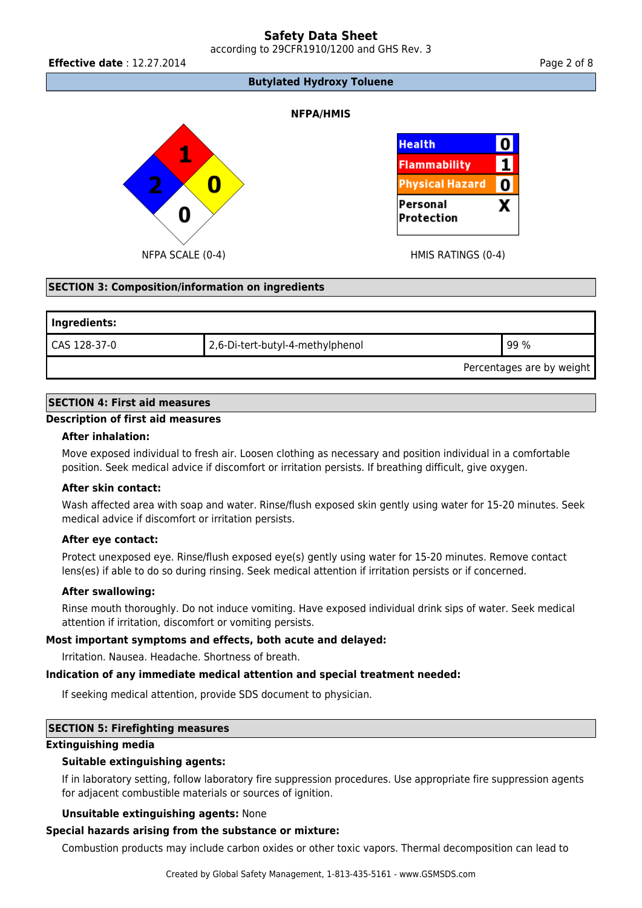according to 29CFR1910/1200 and GHS Rev. 3

**Effective date** : 12.27.2014 **Page 2 of 8** 

**Butylated Hydroxy Toluene**

# **NFPA/HMIS**





# **SECTION 3: Composition/information on ingredients**

| Ingredients:              |                                  |      |  |  |
|---------------------------|----------------------------------|------|--|--|
| CAS 128-37-0              | 2,6-Di-tert-butyl-4-methylphenol | 99 % |  |  |
| Percentages are by weight |                                  |      |  |  |

#### **SECTION 4: First aid measures**

# **Description of first aid measures**

#### **After inhalation:**

Move exposed individual to fresh air. Loosen clothing as necessary and position individual in a comfortable position. Seek medical advice if discomfort or irritation persists. If breathing difficult, give oxygen.

#### **After skin contact:**

Wash affected area with soap and water. Rinse/flush exposed skin gently using water for 15-20 minutes. Seek medical advice if discomfort or irritation persists.

### **After eye contact:**

Protect unexposed eye. Rinse/flush exposed eye(s) gently using water for 15-20 minutes. Remove contact lens(es) if able to do so during rinsing. Seek medical attention if irritation persists or if concerned.

# **After swallowing:**

Rinse mouth thoroughly. Do not induce vomiting. Have exposed individual drink sips of water. Seek medical attention if irritation, discomfort or vomiting persists.

# **Most important symptoms and effects, both acute and delayed:**

Irritation. Nausea. Headache. Shortness of breath.

#### **Indication of any immediate medical attention and special treatment needed:**

If seeking medical attention, provide SDS document to physician.

# **SECTION 5: Firefighting measures**

#### **Extinguishing media**

# **Suitable extinguishing agents:**

If in laboratory setting, follow laboratory fire suppression procedures. Use appropriate fire suppression agents for adjacent combustible materials or sources of ignition.

#### **Unsuitable extinguishing agents:** None

# **Special hazards arising from the substance or mixture:**

Combustion products may include carbon oxides or other toxic vapors. Thermal decomposition can lead to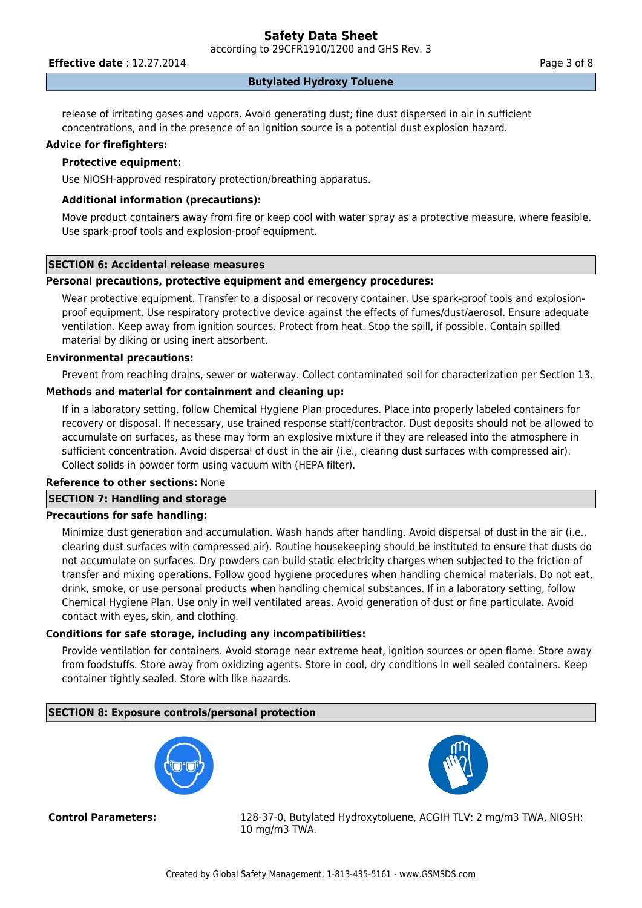**Effective date** : 12.27.2014 **Page 3 of 8** 

## **Butylated Hydroxy Toluene**

release of irritating gases and vapors. Avoid generating dust; fine dust dispersed in air in sufficient concentrations, and in the presence of an ignition source is a potential dust explosion hazard.

#### **Advice for firefighters:**

# **Protective equipment:**

Use NIOSH-approved respiratory protection/breathing apparatus.

# **Additional information (precautions):**

Move product containers away from fire or keep cool with water spray as a protective measure, where feasible. Use spark-proof tools and explosion-proof equipment.

# **SECTION 6: Accidental release measures**

# **Personal precautions, protective equipment and emergency procedures:**

Wear protective equipment. Transfer to a disposal or recovery container. Use spark-proof tools and explosionproof equipment. Use respiratory protective device against the effects of fumes/dust/aerosol. Ensure adequate ventilation. Keep away from ignition sources. Protect from heat. Stop the spill, if possible. Contain spilled material by diking or using inert absorbent.

# **Environmental precautions:**

Prevent from reaching drains, sewer or waterway. Collect contaminated soil for characterization per Section 13.

# **Methods and material for containment and cleaning up:**

If in a laboratory setting, follow Chemical Hygiene Plan procedures. Place into properly labeled containers for recovery or disposal. If necessary, use trained response staff/contractor. Dust deposits should not be allowed to accumulate on surfaces, as these may form an explosive mixture if they are released into the atmosphere in sufficient concentration. Avoid dispersal of dust in the air (i.e., clearing dust surfaces with compressed air). Collect solids in powder form using vacuum with (HEPA filter).

#### **Reference to other sections:** None

# **SECTION 7: Handling and storage**

# **Precautions for safe handling:**

Minimize dust generation and accumulation. Wash hands after handling. Avoid dispersal of dust in the air (i.e., clearing dust surfaces with compressed air). Routine housekeeping should be instituted to ensure that dusts do not accumulate on surfaces. Dry powders can build static electricity charges when subjected to the friction of transfer and mixing operations. Follow good hygiene procedures when handling chemical materials. Do not eat, drink, smoke, or use personal products when handling chemical substances. If in a laboratory setting, follow Chemical Hygiene Plan. Use only in well ventilated areas. Avoid generation of dust or fine particulate. Avoid contact with eyes, skin, and clothing.

# **Conditions for safe storage, including any incompatibilities:**

Provide ventilation for containers. Avoid storage near extreme heat, ignition sources or open flame. Store away from foodstuffs. Store away from oxidizing agents. Store in cool, dry conditions in well sealed containers. Keep container tightly sealed. Store with like hazards.

# **SECTION 8: Exposure controls/personal protection**





**Control Parameters:** 128-37-0, Butylated Hydroxytoluene, ACGIH TLV: 2 mg/m3 TWA, NIOSH: 10 mg/m3 TWA.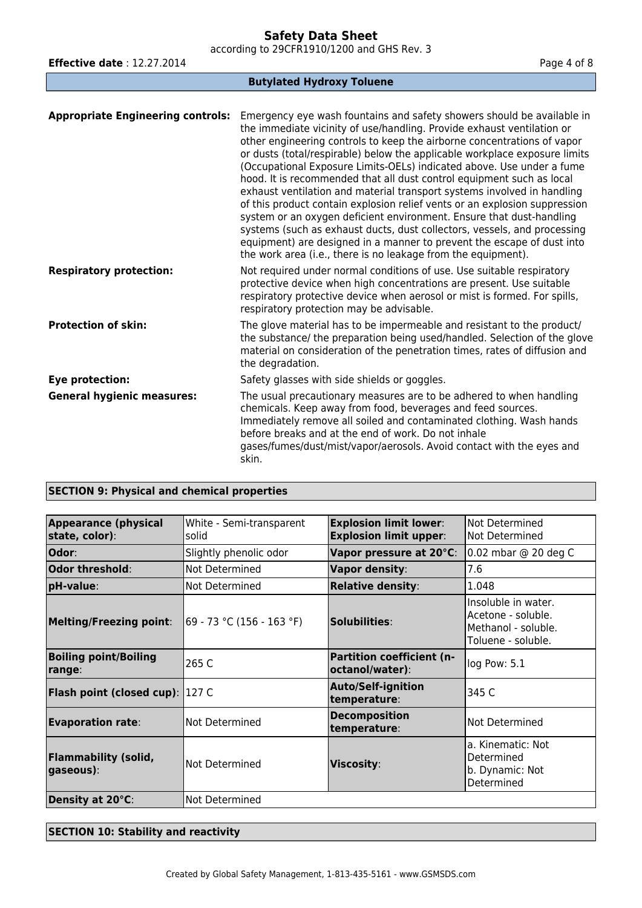according to 29CFR1910/1200 and GHS Rev. 3

| <b>Effective date: 12.27.2014</b>        | Page 4 of 8                                                                                                                                                                                                                                                                                                                                                                                                                                                                                                                                                                                                                                                                                                                                                              |  |  |  |
|------------------------------------------|--------------------------------------------------------------------------------------------------------------------------------------------------------------------------------------------------------------------------------------------------------------------------------------------------------------------------------------------------------------------------------------------------------------------------------------------------------------------------------------------------------------------------------------------------------------------------------------------------------------------------------------------------------------------------------------------------------------------------------------------------------------------------|--|--|--|
| <b>Butylated Hydroxy Toluene</b>         |                                                                                                                                                                                                                                                                                                                                                                                                                                                                                                                                                                                                                                                                                                                                                                          |  |  |  |
| <b>Appropriate Engineering controls:</b> | Emergency eye wash fountains and safety showers should be available in<br>the immediate vicinity of use/handling. Provide exhaust ventilation or<br>other engineering controls to keep the airborne concentrations of vapor<br>or dusts (total/respirable) below the applicable workplace exposure limits<br>(Occupational Exposure Limits-OELs) indicated above. Use under a fume<br>hood. It is recommended that all dust control equipment such as local<br>exhaust ventilation and material transport systems involved in handling<br>of this product contain explosion relief vents or an explosion suppression<br>system or an oxygen deficient environment. Ensure that dust-handling<br>systems (such as exhaust ducts, dust collectors, vessels, and processing |  |  |  |
|                                          | equipment) are designed in a manner to prevent the escape of dust into<br>the work area (i.e., there is no leakage from the equipment).                                                                                                                                                                                                                                                                                                                                                                                                                                                                                                                                                                                                                                  |  |  |  |
| <b>Respiratory protection:</b>           | Not required under normal conditions of use. Use suitable respiratory<br>protective device when high concentrations are present. Use suitable<br>respiratory protective device when aerosol or mist is formed. For spills,<br>respiratory protection may be advisable.                                                                                                                                                                                                                                                                                                                                                                                                                                                                                                   |  |  |  |
| <b>Protection of skin:</b>               | The glove material has to be impermeable and resistant to the product/<br>the substance/ the preparation being used/handled. Selection of the glove<br>material on consideration of the penetration times, rates of diffusion and<br>the degradation.                                                                                                                                                                                                                                                                                                                                                                                                                                                                                                                    |  |  |  |
| Eye protection:                          | Safety glasses with side shields or goggles.                                                                                                                                                                                                                                                                                                                                                                                                                                                                                                                                                                                                                                                                                                                             |  |  |  |
| <b>General hygienic measures:</b>        | The usual precautionary measures are to be adhered to when handling<br>chemicals. Keep away from food, beverages and feed sources.<br>Immediately remove all soiled and contaminated clothing. Wash hands<br>before breaks and at the end of work. Do not inhale<br>gases/fumes/dust/mist/vapor/aerosols. Avoid contact with the eyes and<br>skin.                                                                                                                                                                                                                                                                                                                                                                                                                       |  |  |  |

# **SECTION 9: Physical and chemical properties**

| <b>Appearance (physical</b><br>state, color): | White - Semi-transparent<br>solid | <b>Explosion limit lower:</b><br><b>Explosion limit upper:</b> | Not Determined<br>Not Determined                                                       |
|-----------------------------------------------|-----------------------------------|----------------------------------------------------------------|----------------------------------------------------------------------------------------|
| Odor:                                         | Slightly phenolic odor            | Vapor pressure at 20°C:                                        | 0.02 mbar @ 20 deg C                                                                   |
| Odor threshold:                               | Not Determined                    | Vapor density:                                                 | 7.6                                                                                    |
| pH-value:                                     | Not Determined                    | <b>Relative density:</b>                                       | 1.048                                                                                  |
| <b>Melting/Freezing point:</b>                | 69 - 73 °C (156 - 163 °F)         | Solubilities:                                                  | Insoluble in water.<br>Acetone - soluble.<br>Methanol - soluble.<br>Toluene - soluble. |
| <b>Boiling point/Boiling</b><br>range:        | 265 C                             | <b>Partition coefficient (n-</b><br>octanol/water):            | log Pow: 5.1                                                                           |
| <b>Flash point (closed cup)</b> : 127 C       |                                   | <b>Auto/Self-ignition</b><br>temperature:                      | 345 C                                                                                  |
| <b>Evaporation rate:</b>                      | Not Determined                    | <b>Decomposition</b><br>temperature:                           | Not Determined                                                                         |
| <b>Flammability (solid,</b><br>gaseous):      | Not Determined                    | Viscosity:                                                     | a. Kinematic: Not<br>Determined<br>b. Dynamic: Not<br>Determined                       |
| Density at 20°C:                              | Not Determined                    |                                                                |                                                                                        |

# **SECTION 10: Stability and reactivity**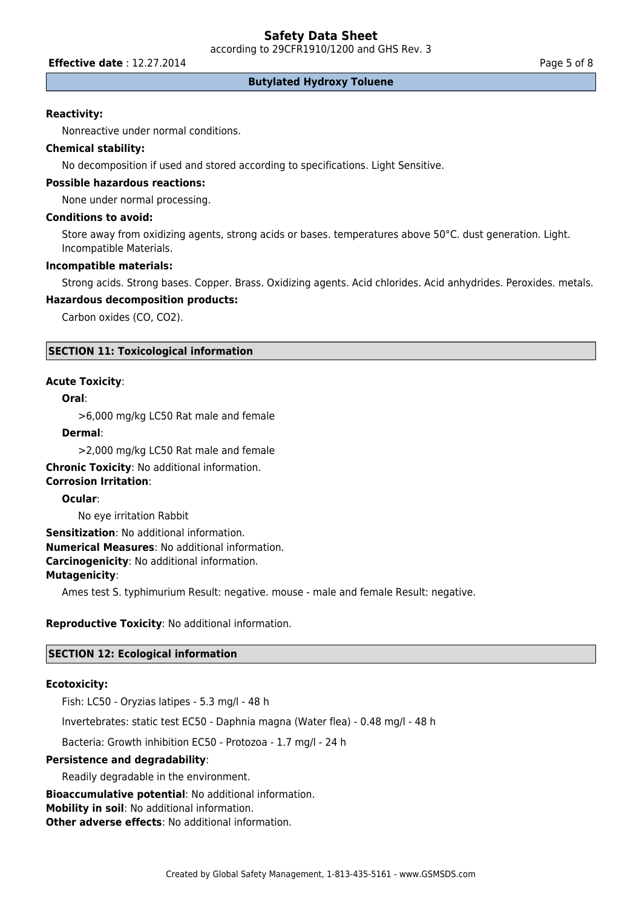according to 29CFR1910/1200 and GHS Rev. 3

**Effective date** : 12.27.2014 **Page 5 of 8** 

#### **Butylated Hydroxy Toluene**

#### **Reactivity:**

Nonreactive under normal conditions.

# **Chemical stability:**

No decomposition if used and stored according to specifications. Light Sensitive.

# **Possible hazardous reactions:**

None under normal processing.

### **Conditions to avoid:**

Store away from oxidizing agents, strong acids or bases. temperatures above 50°C. dust generation. Light. Incompatible Materials.

#### **Incompatible materials:**

Strong acids. Strong bases. Copper. Brass. Oxidizing agents. Acid chlorides. Acid anhydrides. Peroxides. metals.

## **Hazardous decomposition products:**

Carbon oxides (CO, CO2).

### **SECTION 11: Toxicological information**

#### **Acute Toxicity**:

# **Oral**:

>6,000 mg/kg LC50 Rat male and female

#### **Dermal**:

>2,000 mg/kg LC50 Rat male and female

**Chronic Toxicity**: No additional information. **Corrosion Irritation**:

#### **Ocular**:

No eye irritation Rabbit

**Sensitization**: No additional information. **Numerical Measures**: No additional information. **Carcinogenicity**: No additional information. **Mutagenicity**:

Ames test S. typhimurium Result: negative. mouse - male and female Result: negative.

# **Reproductive Toxicity**: No additional information.

### **SECTION 12: Ecological information**

#### **Ecotoxicity:**

Fish: LC50 - Oryzias latipes - 5.3 mg/l - 48 h

Invertebrates: static test EC50 - Daphnia magna (Water flea) - 0.48 mg/l - 48 h

Bacteria: Growth inhibition EC50 - Protozoa - 1.7 mg/l - 24 h

### **Persistence and degradability**:

Readily degradable in the environment.

**Bioaccumulative potential**: No additional information.

**Mobility in soil**: No additional information.

**Other adverse effects**: No additional information.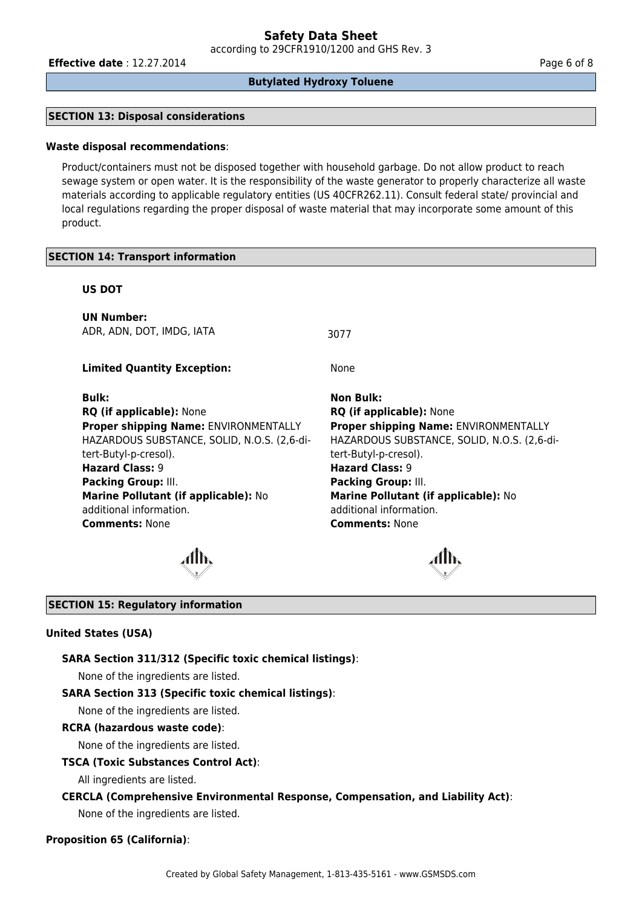**Effective date** : 12.27.2014 **Page 6 of 8** 

#### **Butylated Hydroxy Toluene**

# **SECTION 13: Disposal considerations**

#### **Waste disposal recommendations**:

Product/containers must not be disposed together with household garbage. Do not allow product to reach sewage system or open water. It is the responsibility of the waste generator to properly characterize all waste materials according to applicable regulatory entities (US 40CFR262.11). Consult federal state/ provincial and local regulations regarding the proper disposal of waste material that may incorporate some amount of this product.

#### **SECTION 14: Transport information**

## **US DOT**

**UN Number:** ADR, ADN, DOT, IMDG, IATA 3077

**Limited Quantity Exception:** None

**Bulk: Non Bulk: RQ (if applicable):** None **RQ (if applicable):** None **Proper shipping Name:** ENVIRONMENTALLY HAZARDOUS SUBSTANCE, SOLID, N.O.S. (2,6-ditert-Butyl-p-cresol). **Hazard Class:** 9 **Hazard Class:** 9 **Packing Group:** III. **Packing Group:** III. **Marine Pollutant (if applicable):** No additional information. **Comments:** None **Comments:** None

**Proper shipping Name:** ENVIRONMENTALLY HAZARDOUS SUBSTANCE, SOLID, N.O.S. (2,6-ditert-Butyl-p-cresol). **Marine Pollutant (if applicable):** No additional information.



#### **SECTION 15: Regulatory information**

#### **United States (USA)**

**SARA Section 311/312 (Specific toxic chemical listings)**:

None of the ingredients are listed.

#### **SARA Section 313 (Specific toxic chemical listings)**:

None of the ingredients are listed.

#### **RCRA (hazardous waste code)**:

None of the ingredients are listed.

#### **TSCA (Toxic Substances Control Act)**:

All ingredients are listed.

#### **CERCLA (Comprehensive Environmental Response, Compensation, and Liability Act)**:

None of the ingredients are listed.

#### **Proposition 65 (California)**: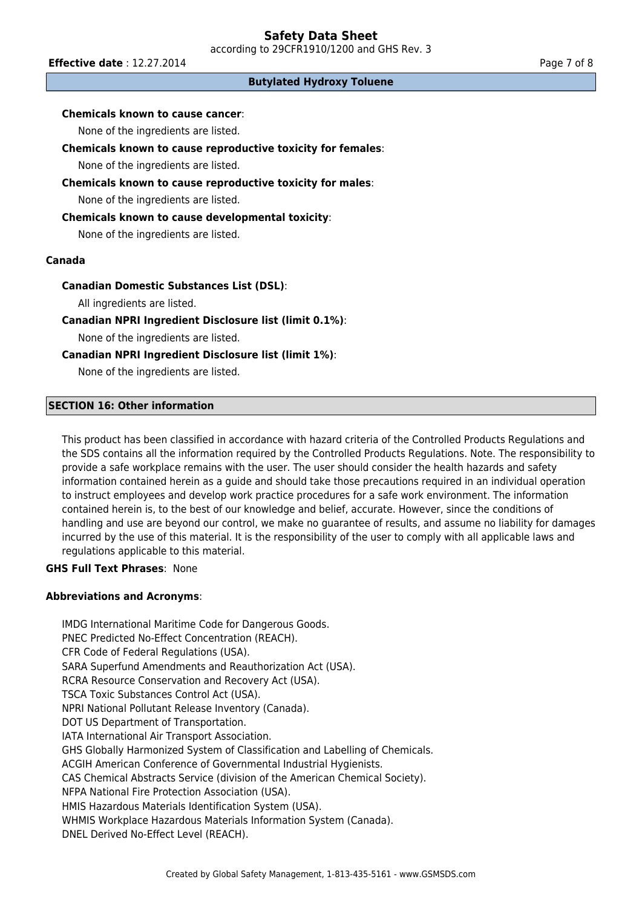**Effective date** : 12.27.2014 **Page 7 of 8** 

# **Butylated Hydroxy Toluene**

# **Chemicals known to cause cancer**:

None of the ingredients are listed.

# **Chemicals known to cause reproductive toxicity for females**:

None of the ingredients are listed.

# **Chemicals known to cause reproductive toxicity for males**:

None of the ingredients are listed.

# **Chemicals known to cause developmental toxicity**:

None of the ingredients are listed.

# **Canada**

# **Canadian Domestic Substances List (DSL)**:

All ingredients are listed.

# **Canadian NPRI Ingredient Disclosure list (limit 0.1%)**:

None of the ingredients are listed.

# **Canadian NPRI Ingredient Disclosure list (limit 1%)**:

None of the ingredients are listed.

# **SECTION 16: Other information**

This product has been classified in accordance with hazard criteria of the Controlled Products Regulations and the SDS contains all the information required by the Controlled Products Regulations. Note. The responsibility to provide a safe workplace remains with the user. The user should consider the health hazards and safety information contained herein as a guide and should take those precautions required in an individual operation to instruct employees and develop work practice procedures for a safe work environment. The information contained herein is, to the best of our knowledge and belief, accurate. However, since the conditions of handling and use are beyond our control, we make no guarantee of results, and assume no liability for damages incurred by the use of this material. It is the responsibility of the user to comply with all applicable laws and regulations applicable to this material.

# **GHS Full Text Phrases**: None

# **Abbreviations and Acronyms**:

IMDG International Maritime Code for Dangerous Goods. PNEC Predicted No-Effect Concentration (REACH). CFR Code of Federal Regulations (USA). SARA Superfund Amendments and Reauthorization Act (USA). RCRA Resource Conservation and Recovery Act (USA). TSCA Toxic Substances Control Act (USA). NPRI National Pollutant Release Inventory (Canada). DOT US Department of Transportation. IATA International Air Transport Association. GHS Globally Harmonized System of Classification and Labelling of Chemicals. ACGIH American Conference of Governmental Industrial Hygienists. CAS Chemical Abstracts Service (division of the American Chemical Society). NFPA National Fire Protection Association (USA). HMIS Hazardous Materials Identification System (USA). WHMIS Workplace Hazardous Materials Information System (Canada). DNEL Derived No-Effect Level (REACH).